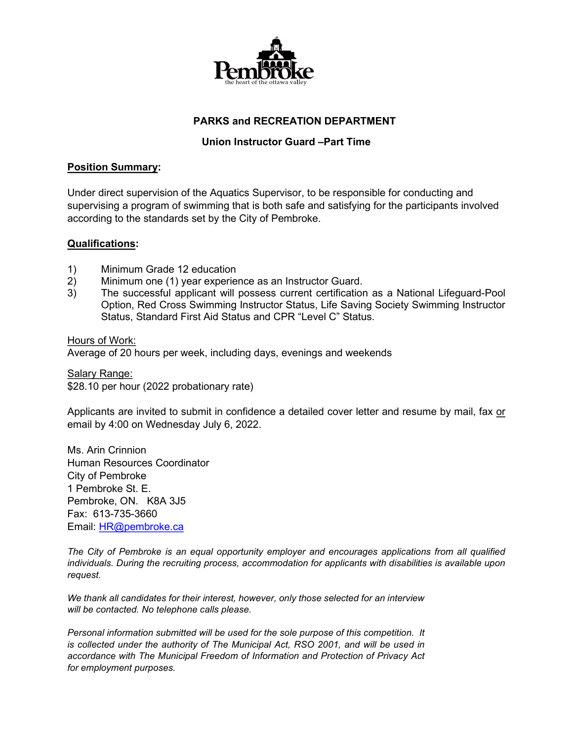

## **PARKS and RECREATION DEPARTMENT**

### **Union Instructor Guard –Part Time**

#### **Position Summary:**

Under direct supervision of the Aquatics Supervisor, to be responsible for conducting and supervising a program of swimming that is both safe and satisfying for the participants involved according to the standards set by the City of Pembroke.

#### **Qualifications:**

- 1) Minimum Grade 12 education<br>2) Minimum one (1) year experie
- 2) Minimum one (1) year experience as an Instructor Guard.<br>3) The successful applicant will possess current certification
- 3) The successful applicant will possess current certification as a National Lifeguard-Pool Option, Red Cross Swimming Instructor Status, Life Saving Society Swimming Instructor Status, Standard First Aid Status and CPR "Level C" Status.

#### Hours of Work:

Average of 20 hours per week, including days, evenings and weekends

Salary Range: \$28.10 per hour (2022 probationary rate)

Applicants are invited to submit in confidence a detailed cover letter and resume by mail, fax or email by 4:00 on Wednesday July 6, 2022.

Ms. Arin Crinnion Human Resources Coordinator City of Pembroke 1 Pembroke St. E. Pembroke, ON. K8A 3J5 Fax: 613-735-3660 Email: [HR@pembroke.ca](mailto:HR@pembroke.ca)

*The City of Pembroke is an equal opportunity employer and encourages applications from all qualified individuals. During the recruiting process, accommodation for applicants with disabilities is available upon request.*

*We thank all candidates for their interest, however, only those selected for an interview will be contacted. No telephone calls please.*

*Personal information submitted will be used for the sole purpose of this competition. It is collected under the authority of The Municipal Act, RSO 2001, and will be used in accordance with The Municipal Freedom of Information and Protection of Privacy Act for employment purposes.*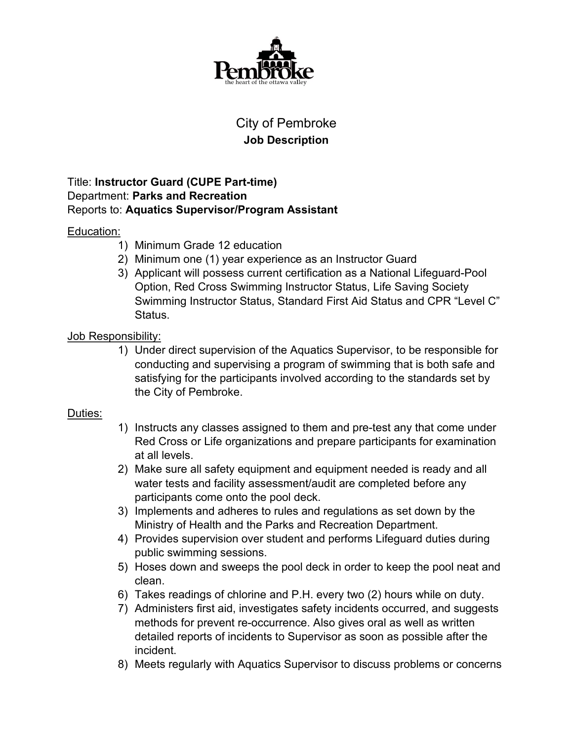

# City of Pembroke **Job Description**

## Title: **Instructor Guard (CUPE Part-time)** Department: **Parks and Recreation** Reports to: **Aquatics Supervisor/Program Assistant**

# Education:

- 1) Minimum Grade 12 education
- 2) Minimum one (1) year experience as an Instructor Guard
- 3) Applicant will possess current certification as a National Lifeguard-Pool Option, Red Cross Swimming Instructor Status, Life Saving Society Swimming Instructor Status, Standard First Aid Status and CPR "Level C" Status.

# Job Responsibility:

1) Under direct supervision of the Aquatics Supervisor, to be responsible for conducting and supervising a program of swimming that is both safe and satisfying for the participants involved according to the standards set by the City of Pembroke.

# Duties:

- 1) Instructs any classes assigned to them and pre-test any that come under Red Cross or Life organizations and prepare participants for examination at all levels.
- 2) Make sure all safety equipment and equipment needed is ready and all water tests and facility assessment/audit are completed before any participants come onto the pool deck.
- 3) Implements and adheres to rules and regulations as set down by the Ministry of Health and the Parks and Recreation Department.
- 4) Provides supervision over student and performs Lifeguard duties during public swimming sessions.
- 5) Hoses down and sweeps the pool deck in order to keep the pool neat and clean.
- 6) Takes readings of chlorine and P.H. every two (2) hours while on duty.
- 7) Administers first aid, investigates safety incidents occurred, and suggests methods for prevent re-occurrence. Also gives oral as well as written detailed reports of incidents to Supervisor as soon as possible after the incident.
- 8) Meets regularly with Aquatics Supervisor to discuss problems or concerns